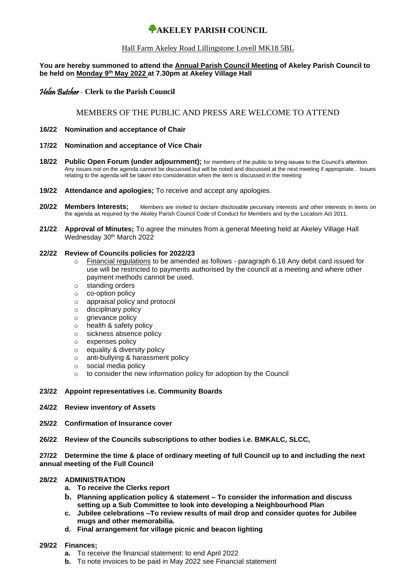# **WAKELEY PARISH COUNCIL**

### Hall Farm Akeley Road Lillingstone Lovell MK18 5BL

### **You are hereby summoned to attend the Annual Parish Council Meeting of Akeley Parish Council to be held on Monday 9th May 2022 at 7.30pm at Akeley Village Hall**

### Helen Butcher - **Clerk to the Parish Council**

### MEMBERS OF THE PUBLIC AND PRESS ARE WELCOME TO ATTEND

- **16/22 Nomination and acceptance of Chair**
- **17/22 Nomination and acceptance of Vice Chair**
- **18/22 Public Open Forum (under adjournment);** for members of the public to bring issues to the Council's attention. Any issues not on the agenda cannot be discussed but will be noted and discussed at the next meeting if appropriate.. Issues relating to the agenda will be taken into consideration when the item is discussed in the meeting
- **19/22 Attendance and apologies;** To receive and accept any apologies.
- **20/22 Members Interests;** Members are invited to declare disclosable pecuniary interests and other interests in items on the agenda as required by the Akeley Parish Council Code of Conduct for Members and by the Localism Act 2011.
- **21/22 Approval of Minutes;** To agree the minutes from a general Meeting held at Akeley Village Hall Wednesday 30<sup>th</sup> March 2022

### **22/22 Review of Councils policies for 2022/23**

- o Financial regulations to be amended as follows paragraph 6.18 Any debit card issued for use will be restricted to payments authorised by the council at a meeting and where other payment methods cannot be used.
- o standing orders
- o co-option policy
- o appraisal policy and protocol
- o disciplinary policy
- o grievance policy
- o health & safety policy
- o sickness absence policy
- o expenses policy
- o equality & diversity policy
- o anti-bullying & harassment policy
- o social media policy
- o to consider the new information policy for adoption by the Council

### **23/22 Appoint representatives i.e. Community Boards**

- **24/22 Review inventory of Assets**
- **25/22 Confirmation of Insurance cover**
- **26/22 Review of the Councils subscriptions to other bodies i.e. BMKALC, SLCC,**

**27/22 Determine the time & place of ordinary meeting of full Council up to and including the next annual meeting of the Full Council**

### **28/22 ADMINISTRATION**

- **a. To receive the Clerks report**
- **b. Planning application policy & statement – To consider the information and discuss setting up a Sub Committee to look into developing a Neighbourhood Plan**
- **c. Jubilee celebrations –To review results of mail drop and consider quotes for Jubilee mugs and other memorabilia.**
- **d. Final arrangement for village picnic and beacon lighting**

#### **29/22 Finances;**

- **a.** To receive the financial statement: to end April 2022
- **b.** To note invoices to be paid in May 2022 see Financial statement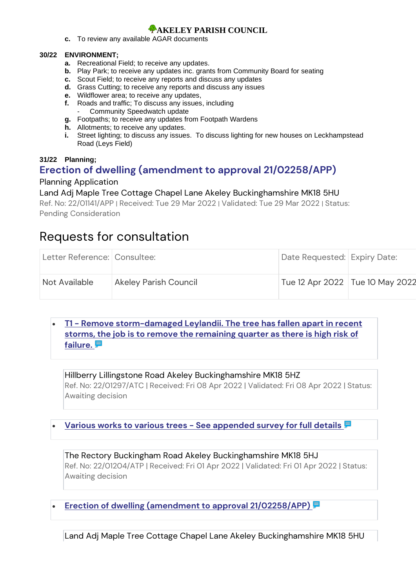# *A***AKELEY PARISH COUNCIL**

**c.** To review any available AGAR documents

### **30/22 ENVIRONMENT;**

- **a.** Recreational Field; to receive any updates.
- **b.** Play Park; to receive any updates inc. grants from Community Board for seating
- **c.** Scout Field; to receive any reports and discuss any updates
- **d.** Grass Cutting; to receive any reports and discuss any issues
- **e.** Wildflower area; to receive any updates,
- **f.** Roads and traffic; To discuss any issues, including Community Speedwatch update
- **g.** Footpaths; to receive any updates from Footpath Wardens
- **h.** Allotments; to receive any updates.
- **i.** Street lighting; to discuss any issues. To discuss lighting for new houses on Leckhampstead Road (Leys Field)

## **31/22 Planning;**

# **[Erection of dwelling \(amendment to approval 21/02258/APP\)](https://publicaccess.aylesburyvaledc.gov.uk/online-applications/applicationDetails.do?activeTab=summary&keyVal=R9I134CLGVJ00&prevPage=inTray)**

## Planning Application

## Land Adj Maple Tree Cottage Chapel Lane Akeley Buckinghamshire MK18 5HU

Ref. No: 22/01141/APP | Received: Tue 29 Mar 2022 | Validated: Tue 29 Mar 2022 | Status: Pending Consideration

# Requests for consultation

| Letter Reference: Consultee: |                              | Date Requested: Expiry Date:      |  |
|------------------------------|------------------------------|-----------------------------------|--|
| Not Available                | <b>Akeley Parish Council</b> | Tue 12 Apr 2022   Tue 10 May 2022 |  |

# • **T1 - [Remove storm-damaged Leylandii. The tree has fallen apart in recent](https://publicaccess.aylesburyvaledc.gov.uk/online-applications/applicationDetails.do?keyVal=RA0E7KCLH9A00&activeTab=summary)  [storms, the job is to remove the remaining quarter as there is high risk of](https://publicaccess.aylesburyvaledc.gov.uk/online-applications/applicationDetails.do?keyVal=RA0E7KCLH9A00&activeTab=summary)  [failure.](https://publicaccess.aylesburyvaledc.gov.uk/online-applications/applicationDetails.do?keyVal=RA0E7KCLH9A00&activeTab=summary)**

### Hillberry Lillingstone Road Akeley Buckinghamshire MK18 5HZ

Ref. No: 22/01297/ATC | Received: Fri 08 Apr 2022 | Validated: Fri 08 Apr 2022 | Status: Awaiting decision

• **Various works to various trees - [See appended survey for full details](https://publicaccess.aylesburyvaledc.gov.uk/online-applications/applicationDetails.do?keyVal=R9NGXWCLH0500&activeTab=summary)**

The Rectory Buckingham Road Akeley Buckinghamshire MK18 5HJ Ref. No: 22/01204/ATP | Received: Fri 01 Apr 2022 | Validated: Fri 01 Apr 2022 | Status: Awaiting decision

[Erection of dwelling \(amendment to approval 21/02258/APP\)](https://publicaccess.aylesburyvaledc.gov.uk/online-applications/applicationDetails.do?keyVal=R9I134CLGVJ00&activeTab=summary)

Land Adj Maple Tree Cottage Chapel Lane Akeley Buckinghamshire MK18 5HU